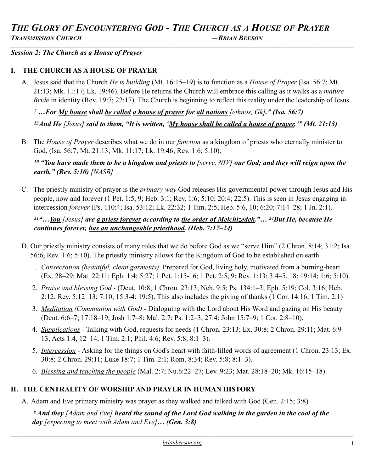#### *Session 2: The Church as a House of Prayer*

#### **I. THE CHURCH AS A HOUSE OF PRAYER**

A. Jesus said that the Church *He is building* (Mt. 16:15–19) is to function as a *House of Prayer* (Isa. 56:7; Mt. 21:13; Mk. 11:17; Lk. 19:46). Before He returns the Church will embrace this calling as it walks as a *mature Bride* in identity (Rev. 19:7; 22:17). The Church is beginning to reflect this reality under the leadership of Jesus.

*7 …For My house shall be called a house of prayer for all nations [ethnos, Gk]." (Isa. 56:7)* 

*13And He [Jesus] said to them, "It is written, 'My house shall be called a house of prayer.'" (Mt. 21:13)* 

B. The *House of Prayer* describes what we do in our *function* as a kingdom of priests who eternally minister to God. (Isa. 56:7; Mt. 21:13; Mk. 11:17; Lk. 19:46; Rev. 1:6; 5:10).

*10 "You have made them to be a kingdom and priests to [serve, NIV] our God; and they will reign upon the earth." (Rev. 5:10) [NASB]*

C. The priestly ministry of prayer is the *primary way* God releases His governmental power through Jesus and His people, now and forever (1 Pet. 1:5, 9; Heb. 3:1; Rev. 1:6; 5:10; 20:4; 22:5). This is seen in Jesus engaging in intercession *forever* (Ps. 110:4; Isa. 53:12; Lk. 22:32; 1 Tim. 2:5; Heb. 5:6, 10; 6:20; 7:14–28; 1 Jn. 2:1).

*21"…You [Jesus] are a priest forever according to the order of Melchizedek."… 24But He, because He continues forever, has an unchangeable priesthood. (Heb. 7:17–24)* 

- D. Our priestly ministry consists of many roles that we do before God as we "serve Him" (2 Chron. 8:14; 31:2; Isa. 56:6; Rev. 1:6; 5:10). The priestly ministry allows for the Kingdom of God to be established on earth.
	- 1. *Consecration (beautiful, clean garments)*. Prepared for God, living holy, motivated from a burning-heart (Ex. 28–29; Mat. 22:11; Eph. 1:4; 5:27; 1 Pet. 1:15-16; 1 Pet. 2:5, 9; Rev. 1:13; 3:4–5, 18; 19:14; 1:6; 5:10).
	- 2. *Praise and blessing God* (Deut. 10:8; 1 Chron. 23:13; Neh. 9:5; Ps. 134:1–3; Eph. 5:19; Col. 3:16; Heb. 2:12; Rev. 5:12–13; 7:10; 15:3-4: 19:5). This also includes the giving of thanks (1 Cor. 14:16; 1 Tim. 2:1)
	- 3. *Meditation (Communion with God)* Dialoguing with the Lord about His Word and gazing on His beauty (Deut. 6:6–7; 17:18–19; Josh 1:7–8; Mal. 2:7; Ps. 1:2–3; 27:4; John 15:7–9; 1 Cor. 2:8–10).
	- 4. *Supplications* Talking with God, requests for needs (1 Chron. 23:13; Ex. 30:8; 2 Chron. 29:11; Mat. 6:9– 13; Acts 1:4, 12–14; 1 Tim. 2:1; Phil. 4:6; Rev. 5:8; 8:1–3).
	- 5. *Intercession* Asking for the things on God's heart with faith-filled words of agreement (1 Chron. 23:13; Ex. 30:8; 2 Chron. 29:11; Luke 18:7; 1 Tim. 2:1; Rom. 8:34; Rev. 5:8; 8:1–3).
	- 6. *Blessing and teaching the people* (Mal. 2:7; Nu.6:22–27; Lev. 9:23; Mat. 28:18–20; Mk. 16:15–18)

## **II. THE CENTRALITY OF WORSHIP AND PRAYER IN HUMAN HISTORY**

A. Adam and Eve primary ministry was prayer as they walked and talked with God (Gen. 2:15; 3:8)

 *8 And they [Adam and Eve] heard the sound of the Lord God walking in the garden in the cool of the day [expecting to meet with Adam and Eve]… (Gen. 3:8)*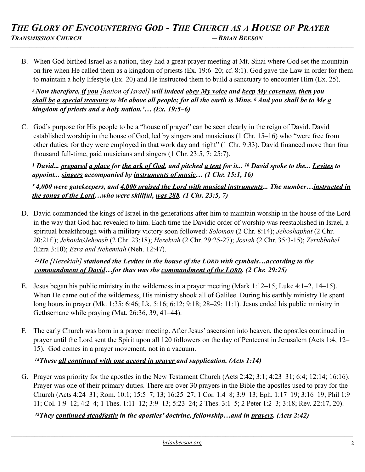B. When God birthed Israel as a nation, they had a great prayer meeting at Mt. Sinai where God set the mountain on fire when He called them as a kingdom of priests (Ex. 19:6–20; cf. 8:1). God gave the Law in order for them to maintain a holy lifestyle (Ex. 20) and He instructed them to build a sanctuary to encounter Him (Ex. 25).

*5 Now therefore, if you [nation of Israel] will indeed obey My voice and keep My covenant, then you shall be a special treasure to Me above all people; for all the earth is Mine. 6 And you shall be to Me a kingdom of priests and a holy nation.'… (Ex. 19:5–6)* 

C. God's purpose for His people to be a "house of prayer" can be seen clearly in the reign of David. David established worship in the house of God, led by singers and musicians (1 Chr. 15–16) who "were free from other duties; for they were employed in that work day and night" (1 Chr. 9:33). David financed more than four thousand full-time, paid musicians and singers (1 Chr. 23:5, 7; 25:7).

*1 David... prepared a place for the ark of God, and pitched a tent for it... 16 David spoke to the... Levites to appoint... singers accompanied by instruments of music… (1 Chr. 15:1, 16)* 

*5 4,000 were gatekeepers, and 4,000 praised the Lord with musical instruments... The number…instructed in the songs of the Lord…who were skillful, was 288. (1 Chr. 23:5, 7)* 

D. David commanded the kings of Israel in the generations after him to maintain worship in the house of the Lord in the way that God had revealed to him. Each time the Davidic order of worship was reestablished in Israel, a spiritual breakthrough with a military victory soon followed: *Solomon* (2 Chr. 8:14); *Jehoshaphat* (2 Chr. 20:21f.); *Jehoida/Jehoash* (2 Chr. 23:18); *Hezekiah* (2 Chr. 29:25-27); *Josiah* (2 Chr. 35:3-15); *Zerubbabel*  (Ezra 3:10); *Ezra and Nehemiah* (Neh. 12:47).

*25He [Hezekiah] stationed the Levites in the house of the LORD with cymbals…according to the commandment of David…for thus was the commandment of the LORD. (2 Chr. 29:25)* 

- E. Jesus began his public ministry in the wilderness in a prayer meeting (Mark 1:12–15; Luke 4:1–2, 14–15). When He came out of the wilderness, His ministry shook all of Galilee. During his earthly ministry He spent long hours in prayer (Mk. 1:35; 6:46; Lk. 5:16; 6:12; 9:18; 28–29; 11:1). Jesus ended his public ministry in Gethsemane while praying (Mat. 26:36, 39, 41–44).
- F. The early Church was born in a prayer meeting. After Jesus' ascension into heaven, the apostles continued in prayer until the Lord sent the Spirit upon all 120 followers on the day of Pentecost in Jerusalem (Acts 1:4, 12– 15). God comes in a prayer movement, not in a vacuum.

# *14These all continued with one accord in prayer and supplication. (Acts 1:14)*

G. Prayer was priority for the apostles in the New Testament Church (Acts 2:42; 3:1; 4:23–31; 6:4; 12:14; 16:16). Prayer was one of their primary duties. There are over 30 prayers in the Bible the apostles used to pray for the Church (Acts 4:24–31; Rom. 10:1; 15:5–7; 13; 16:25–27; 1 Cor. 1:4–8; 3:9–13; Eph. 1:17–19; 3:16–19; Phil 1:9– 11; Col. 1:9–12; 4:2–4; 1 Thes. 1:11–12; 3:9–13; 5:23–24; 2 Thes. 3:1–5; 2 Peter 1:2–3; 3:18; Rev. 22:17, 20).

*42They continued steadfastly in the apostles' doctrine, fellowship…and in prayers. (Acts 2:42)*